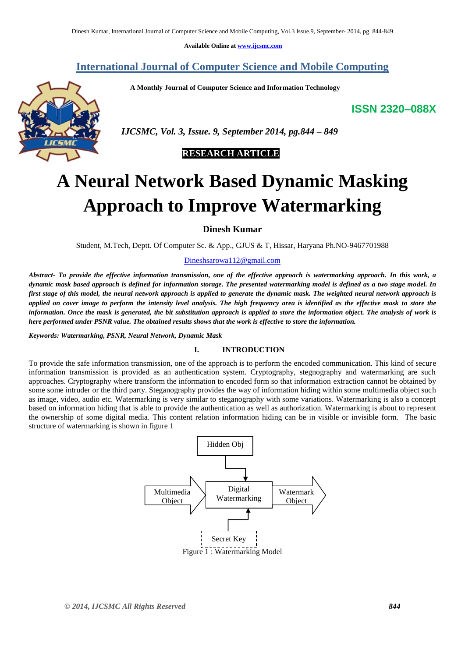**Available Online at www.ijcsmc.com**

# **International Journal of Computer Science and Mobile Computing**

 **A Monthly Journal of Computer Science and Information Technology**

**ISSN 2320–088X**



 *IJCSMC, Vol. 3, Issue. 9, September 2014, pg.844 – 849*

# **RESEARCH ARTICLE**

# **A Neural Network Based Dynamic Masking Approach to Improve Watermarking**

**Dinesh Kumar**

Student, M.Tech, Deptt. Of Computer Sc. & App., GJUS & T, Hissar, Haryana Ph.NO-9467701988

# Dineshsarowa112@gmail.com

*Abstract- To provide the effective information transmission, one of the effective approach is watermarking approach. In this work, a dynamic mask based approach is defined for information storage. The presented watermarking model is defined as a two stage model. In first stage of this model, the neural network approach is applied to generate the dynamic mask. The weighted neural network approach is applied on cover image to perform the intensity level analysis. The high frequency area is identified as the effective mask to store the information. Once the mask is generated, the bit substitution approach is applied to store the information object. The analysis of work is here performed under PSNR value. The obtained results shows that the work is effective to store the information.*

#### *Keywords: Watermarking, PSNR, Neural Network, Dynamic Mask*

#### **I. INTRODUCTION**

To provide the safe information transmission, one of the approach is to perform the encoded communication. This kind of secure information transmission is provided as an authentication system. Cryptography, stegnography and watermarking are such approaches. Cryptography where transform the information to encoded form so that information extraction cannot be obtained by some some intruder or the third party. Steganography provides the way of information hiding within some multimedia object such as image, video, audio etc. Watermarking is very similar to steganography with some variations. Watermarking is also a concept based on information hiding that is able to provide the authentication as well as authorization. Watermarking is about to represent the ownership of some digital media. This content relation information hiding can be in visible or invisible form. The basic structure of watermarking is shown in figure 1

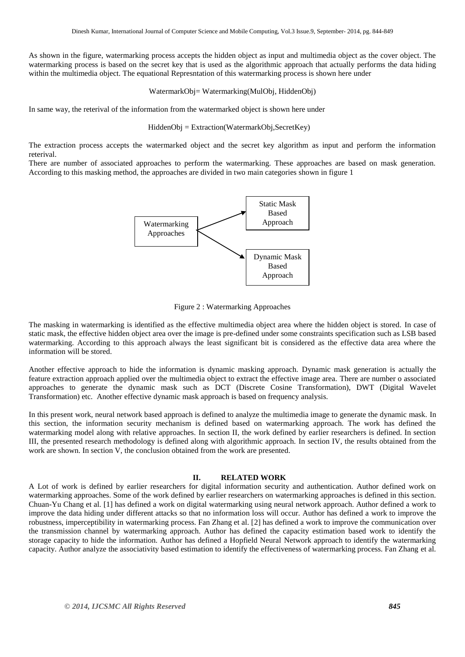As shown in the figure, watermarking process accepts the hidden object as input and multimedia object as the cover object. The watermarking process is based on the secret key that is used as the algorithmic approach that actually performs the data hiding within the multimedia object. The equational Represntation of this watermarking process is shown here under

#### WatermarkObj= Watermarking(MulObj, HiddenObj)

In same way, the reterival of the information from the watermarked object is shown here under

HiddenObj = Extraction(WatermarkObj,SecretKey)

The extraction process accepts the watermarked object and the secret key algorithm as input and perform the information reterival.

There are number of associated approaches to perform the watermarking. These approaches are based on mask generation. According to this masking method, the approaches are divided in two main categories shown in figure 1



Figure 2 : Watermarking Approaches

The masking in watermarking is identified as the effective multimedia object area where the hidden object is stored. In case of static mask, the effective hidden object area over the image is pre-defined under some constraints specification such as LSB based watermarking. According to this approach always the least significant bit is considered as the effective data area where the information will be stored.

Another effective approach to hide the information is dynamic masking approach. Dynamic mask generation is actually the feature extraction approach applied over the multimedia object to extract the effective image area. There are number o associated approaches to generate the dynamic mask such as DCT (Discrete Cosine Transformation), DWT (Digital Wavelet Transformation) etc. Another effective dynamic mask approach is based on frequency analysis.

In this present work, neural network based approach is defined to analyze the multimedia image to generate the dynamic mask. In this section, the information security mechanism is defined based on watermarking approach. The work has defined the watermarking model along with relative approaches. In section II, the work defined by earlier researchers is defined. In section III, the presented research methodology is defined along with algorithmic approach. In section IV, the results obtained from the work are shown. In section V, the conclusion obtained from the work are presented.

# **II. RELATED WORK**

A Lot of work is defined by earlier researchers for digital information security and authentication. Author defined work on watermarking approaches. Some of the work defined by earlier researchers on watermarking approaches is defined in this section. Chuan-Yu Chang et al. [1] has defined a work on digital watermarking using neural network approach. Author defined a work to improve the data hiding under different attacks so that no information loss will occur. Author has defined a work to improve the robustness, imperceptibility in watermarking process. Fan Zhang et al. [2] has defined a work to improve the communication over the transmission channel by watermarking approach. Author has defined the capacity estimation based work to identify the storage capacity to hide the information. Author has defined a Hopfield Neural Network approach to identify the watermarking capacity. Author analyze the associativity based estimation to identify the effectiveness of watermarking process. Fan Zhang et al.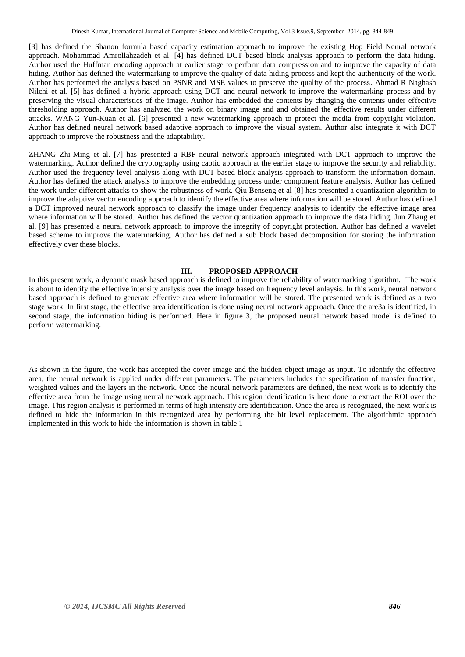[3] has defined the Shanon formula based capacity estimation approach to improve the existing Hop Field Neural network approach. Mohammad Amrollahzadeh et al. [4] has defined DCT based block analysis approach to perform the data hiding. Author used the Huffman encoding approach at earlier stage to perform data compression and to improve the capacity of data hiding. Author has defined the watermarking to improve the quality of data hiding process and kept the authenticity of the work. Author has performed the analysis based on PSNR and MSE values to preserve the quality of the process. Ahmad R Naghash Nilchi et al. [5] has defined a hybrid approach using DCT and neural network to improve the watermarking process and by preserving the visual characteristics of the image. Author has embedded the contents by changing the contents under effective thresholding approach. Author has analyzed the work on binary image and and obtained the effective results under different attacks. WANG Yun-Kuan et al. [6] presented a new watermarking approach to protect the media from copyright violation. Author has defined neural network based adaptive approach to improve the visual system. Author also integrate it with DCT approach to improve the robustness and the adaptability.

ZHANG Zhi-Ming et al. [7] has presented a RBF neural network approach integrated with DCT approach to improve the watermarking. Author defined the cryptography using caotic approach at the earlier stage to improve the security and reliability. Author used the frequency level analysis along with DCT based block analysis approach to transform the information domain. Author has defined the attack analysis to improve the embedding process under component feature analysis. Author has defined the work under different attacks to show the robustness of work. Qiu Benseng et al [8] has presented a quantization algorithm to improve the adaptive vector encoding approach to identify the effective area where information will be stored. Author has defined a DCT improved neural network approach to classify the image under frequency analysis to identify the effective image area where information will be stored. Author has defined the vector quantization approach to improve the data hiding. Jun Zhang et al. [9] has presented a neural network approach to improve the integrity of copyright protection. Author has defined a wavelet based scheme to improve the watermarking. Author has defined a sub block based decomposition for storing the information effectively over these blocks.

# **III. PROPOSED APPROACH**

In this present work, a dynamic mask based approach is defined to improve the reliability of watermarking algorithm. The work is about to identify the effective intensity analysis over the image based on frequency level anlaysis. In this work, neural network based approach is defined to generate effective area where information will be stored. The presented work is defined as a two stage work. In first stage, the effective area identification is done using neural network approach. Once the are3a is identified, in second stage, the information hiding is performed. Here in figure 3, the proposed neural network based model is defined to perform watermarking.

As shown in the figure, the work has accepted the cover image and the hidden object image as input. To identify the effective area, the neural network is applied under different parameters. The parameters includes the specification of transfer function, weighted values and the layers in the network. Once the neural network parameters are defined, the next work is to identify the effective area from the image using neural network approach. This region identification is here done to extract the ROI over the image. This region analysis is performed in terms of high intensity are identification. Once the area is recognized, the next work is defined to hide the information in this recognized area by performing the bit level replacement. The algorithmic approach implemented in this work to hide the information is shown in table 1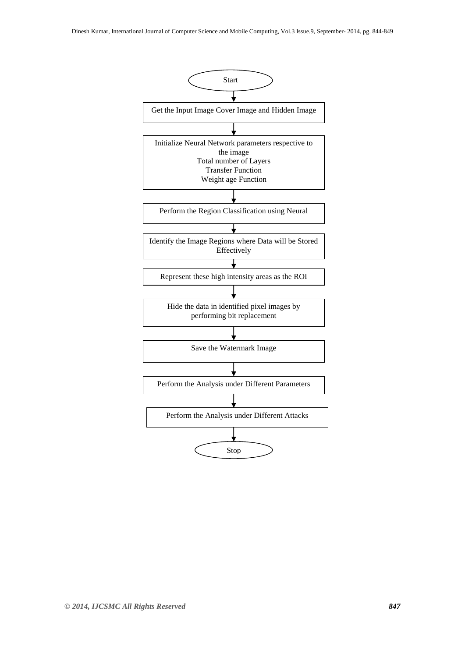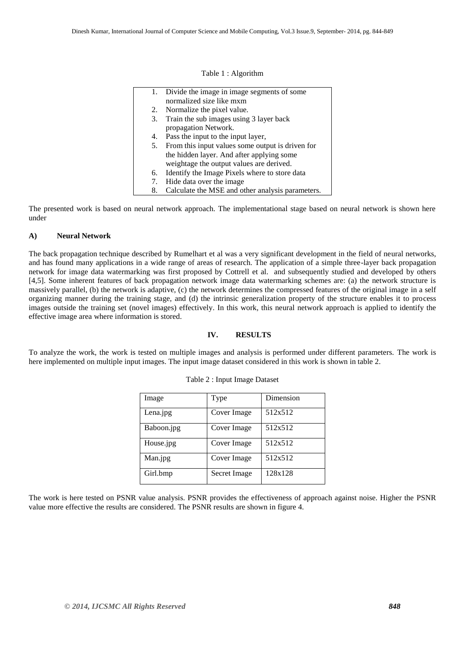Table 1 : Algorithm

|    | 1. Divide the image in image segments of some    |
|----|--------------------------------------------------|
|    | normalized size like mxm                         |
| 2. | Normalize the pixel value.                       |
| 3. | Train the sub images using 3 layer back          |
|    | propagation Network.                             |
| 4. | Pass the input to the input layer,               |
| 5. | From this input values some output is driven for |
|    | the hidden layer. And after applying some        |
|    | weightage the output values are derived.         |
| 6. | Identify the Image Pixels where to store data    |
| 7. | Hide data over the image                         |
| 8. | Calculate the MSE and other analysis parameters. |
|    |                                                  |

The presented work is based on neural network approach. The implementational stage based on neural network is shown here under

#### **A) Neural Network**

The back propagation technique described by Rumelhart et al was a very significant development in the field of neural networks, and has found many applications in a wide range of areas of research. The application of a simple three-layer back propagation network for image data watermarking was first proposed by Cottrell et al. and subsequently studied and developed by others [4,5]. Some inherent features of back propagation network image data watermarking schemes are: (a) the network structure is massively parallel, (b) the network is adaptive, (c) the network determines the compressed features of the original image in a self organizing manner during the training stage, and (d) the intrinsic generalization property of the structure enables it to process images outside the training set (novel images) effectively. In this work, this neural network approach is applied to identify the effective image area where information is stored.

#### **IV. RESULTS**

To analyze the work, the work is tested on multiple images and analysis is performed under different parameters. The work is here implemented on multiple input images. The input image dataset considered in this work is shown in table 2.

| Image      | Type         | Dimension |
|------------|--------------|-----------|
| Lena.jpg   | Cover Image  | 512x512   |
| Baboon.jpg | Cover Image  | 512x512   |
| House.jpg  | Cover Image  | 512x512   |
| Man.jpg    | Cover Image  | 512x512   |
| Girl.bmp   | Secret Image | 128x128   |

## Table 2 : Input Image Dataset

The work is here tested on PSNR value analysis. PSNR provides the effectiveness of approach against noise. Higher the PSNR value more effective the results are considered. The PSNR results are shown in figure 4.